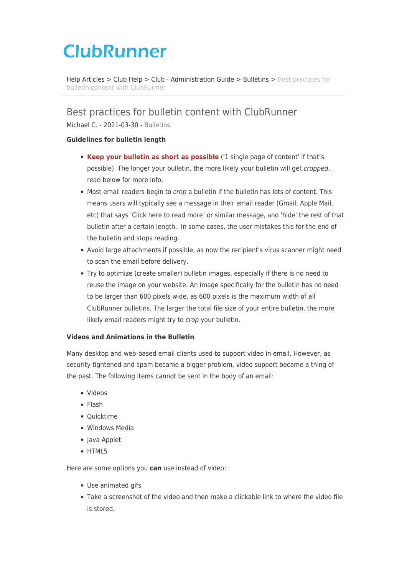# **ClubRunner**

[Help Articles](https://www.clubrunnersupport.com/kb) > [Club Help](https://www.clubrunnersupport.com/kb/club-help) > [Club - Administration Guide](https://www.clubrunnersupport.com/kb/club-administration-guide) > [Bulletins](https://www.clubrunnersupport.com/kb/bulletins) > [Best practices for](https://www.clubrunnersupport.com/kb/articles/best-practices-for-bulletin-content-with-clubrunner) [bulletin content with ClubRunner](https://www.clubrunnersupport.com/kb/articles/best-practices-for-bulletin-content-with-clubrunner)

# Best practices for bulletin content with ClubRunner

Michael C. - 2021-03-30 - [Bulletins](https://www.clubrunnersupport.com/kb/bulletins)

## **Guidelines for bulletin length**

- **Keep your bulletin as short as possible** ('1 single page of content' if that's possible). The longer your bulletin, the more likely your bulletin will get cropped, read below for more info.
- Most email readers begin to *crop* a bulletin if the bulletin has lots of content. This means users will typically see a message in their email reader (Gmail, Apple Mail, etc) that says 'Click here to read more' or similar message, and 'hide' the rest of that bulletin after a certain length. In some cases, the user mistakes this for the end of the bulletin and stops reading.
- Avoid large attachments if possible, as now the recipient's virus scanner might need to scan the email before delivery.
- Try to optimize (create smaller) bulletin images, especially if there is no need to reuse the image on your website. An image specifically for the bulletin has no need to be larger than 600 pixels wide, as 600 pixels is the maximum width of all ClubRunner bulletins. The larger the total file size of your entire bulletin, the more likely email readers might try to *crop* your bulletin.

#### **Videos and Animations in the Bulletin**

Many desktop and web-based email clients used to support video in email. However, as security tightened and spam became a bigger problem, video support became a thing of the past. The following items cannot be sent in the body of an email:

- Videos
- Flash
- Quicktime
- Windows Media
- Java Applet
- HTML5

Here are some options you **can** use instead of video:

- Use animated gifs
- Take a screenshot of the video and then make a clickable link to where the video file is stored.